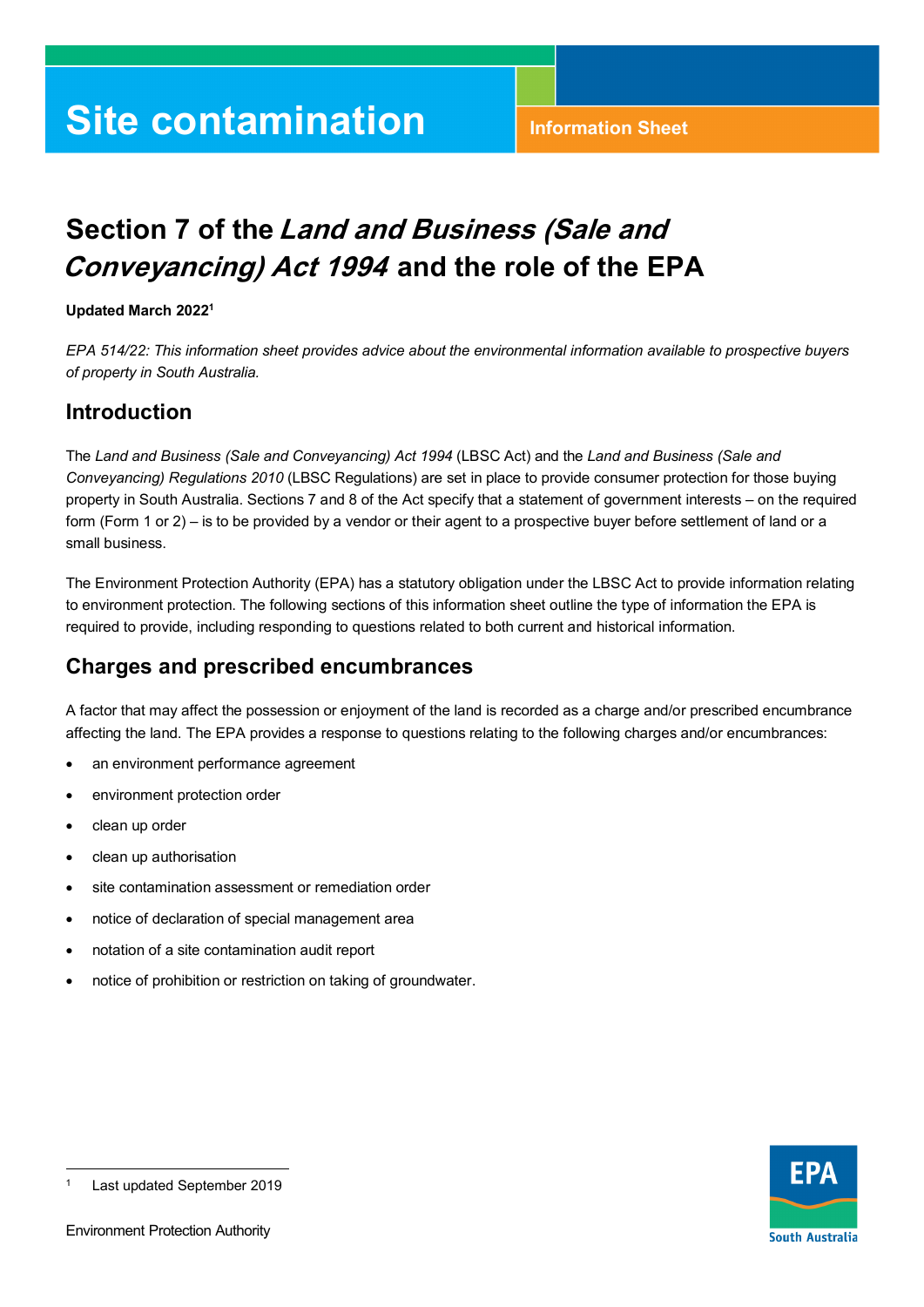# **Site contamination** Information Sheet

## **Section 7 of the Land and Business (Sale and Conveyancing) Act 1994 and the role of the EPA**

#### **Updated March 2022[1](#page-0-0)**

 *EPA 514/22: This information sheet provides advice about the environmental information available to prospective buyers of property in South Australia.* 

#### **Introduction**

 property in South Australia. Sections 7 and 8 of the Act specify that a statement of government interests – on the required form (Form 1 or 2) – is to be provided by a vendor or their agent to a prospective buyer before settlement of land or a The *Land and Business (Sale and Conveyancing) Act 1994* (LBSC Act) and the *Land and Business (Sale and Conveyancing) Regulations 2010* (LBSC Regulations) are set in place to provide consumer protection for those buying small business.

 to environment protection. The following sections of this information sheet outline the type of information the EPA is The Environment Protection Authority (EPA) has a statutory obligation under the LBSC Act to provide information relating required to provide, including responding to questions related to both current and historical information.

#### **Charges and prescribed encumbrances**

A factor that may affect the possession or enjoyment of the land is recorded as a charge and/or prescribed encumbrance affecting the land. The EPA provides a response to questions relating to the following charges and/or encumbrances:

- an environment performance agreement
- environment protection order
- clean up order
- clean up authorisation
- site contamination assessment or remediation order
- notice of declaration of special management area
- notation of a site contamination audit report
- notice of prohibition or restriction on taking of groundwater.



j

<span id="page-0-0"></span><sup>1</sup>Last updated September 2019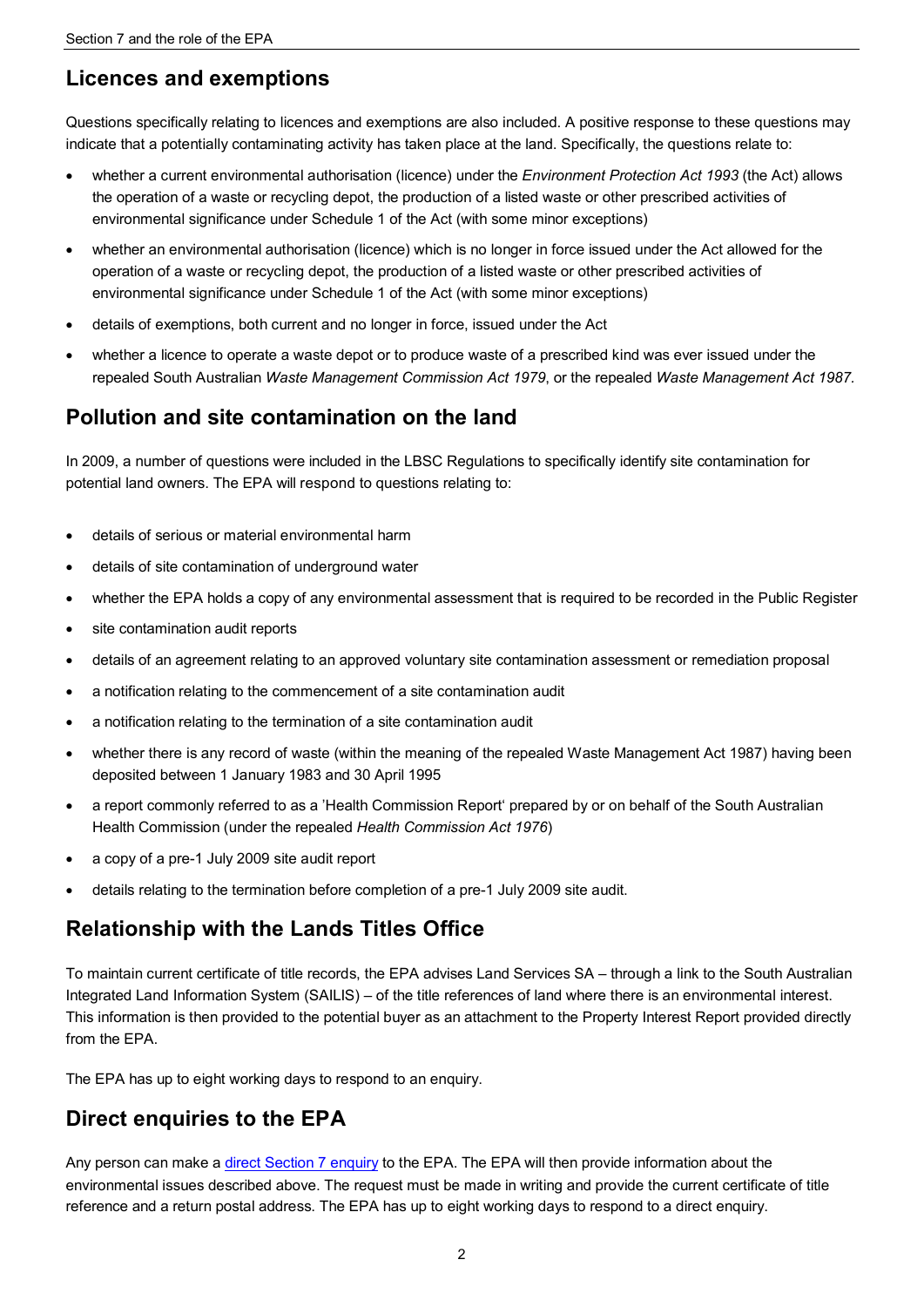#### **Licences and exemptions**

 Questions specifically relating to licences and exemptions are also included. A positive response to these questions may indicate that a potentially contaminating activity has taken place at the land. Specifically, the questions relate to:

- whether a current environmental authorisation (licence) under the *Environment Protection Act 1993* (the Act) allows the operation of a waste or recycling depot, the production of a listed waste or other prescribed activities of environmental significance under Schedule 1 of the Act (with some minor exceptions)
- whether an environmental authorisation (licence) which is no longer in force issued under the Act allowed for the operation of a waste or recycling depot, the production of a listed waste or other prescribed activities of environmental significance under Schedule 1 of the Act (with some minor exceptions)
- details of exemptions, both current and no longer in force, issued under the Act
- whether a licence to operate a waste depot or to produce waste of a prescribed kind was ever issued under the repealed South Australian *Waste Management Commission Act 1979*, or the repealed *Waste Management Act 1987.*

#### **Pollution and site contamination on the land**

 potential land owners. The EPA will respond to questions relating to: In 2009, a number of questions were included in the LBSC Regulations to specifically identify site contamination for

- details of serious or material environmental harm
- details of site contamination of underground water
- whether the EPA holds a copy of any environmental assessment that is required to be recorded in the Public Register
- site contamination audit reports
- details of an agreement relating to an approved voluntary site contamination assessment or remediation proposal
- a notification relating to the commencement of a site contamination audit
- a notification relating to the termination of a site contamination audit
- whether there is any record of waste (within the meaning of the repealed Waste Management Act 1987) having been deposited between 1 January 1983 and 30 April 1995
- a report commonly referred to as a 'Health Commission Report' prepared by or on behalf of the South Australian Health Commission (under the repealed *Health Commission Act 1976*)
- a copy of a pre-1 July 2009 site audit report
- details relating to the termination before completion of a pre-1 July 2009 site audit.

#### **Relationship with the Lands Titles Office**

 To maintain current certificate of title records, the EPA advises Land Services SA – through a link to the South Australian Integrated Land Information System (SAILIS) – of the title references of land where there is an environmental interest. This information is then provided to the potential buyer as an attachment to the Property Interest Report provided directly from the FPA

from the EPA.<br>The EPA has up to eight working days to respond to an enquiry.

### **Direct enquiries to the EPA**

 environmental issues described above. The request must be made in writing and provide the current certificate of title Any person can make a [direct Section 7 enquiry t](https://www.epa.sa.gov.au/our_work/section_7)o the EPA. The EPA will then provide information about the reference and a return postal address. The EPA has up to eight working days to respond to a direct enquiry.